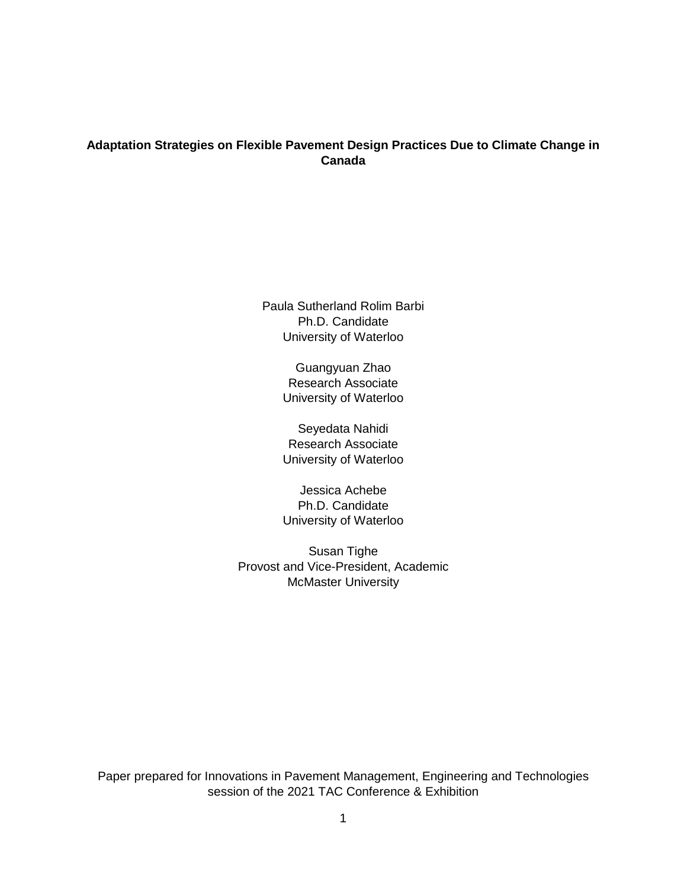# **Adaptation Strategies on Flexible Pavement Design Practices Due to Climate Change in Canada**

Paula Sutherland Rolim Barbi Ph.D. Candidate University of Waterloo

> Guangyuan Zhao Research Associate University of Waterloo

> Seyedata Nahidi Research Associate University of Waterloo

> Jessica Achebe Ph.D. Candidate University of Waterloo

Susan Tighe Provost and Vice-President, Academic McMaster University

Paper prepared for Innovations in Pavement Management, Engineering and Technologies session of the 2021 TAC Conference & Exhibition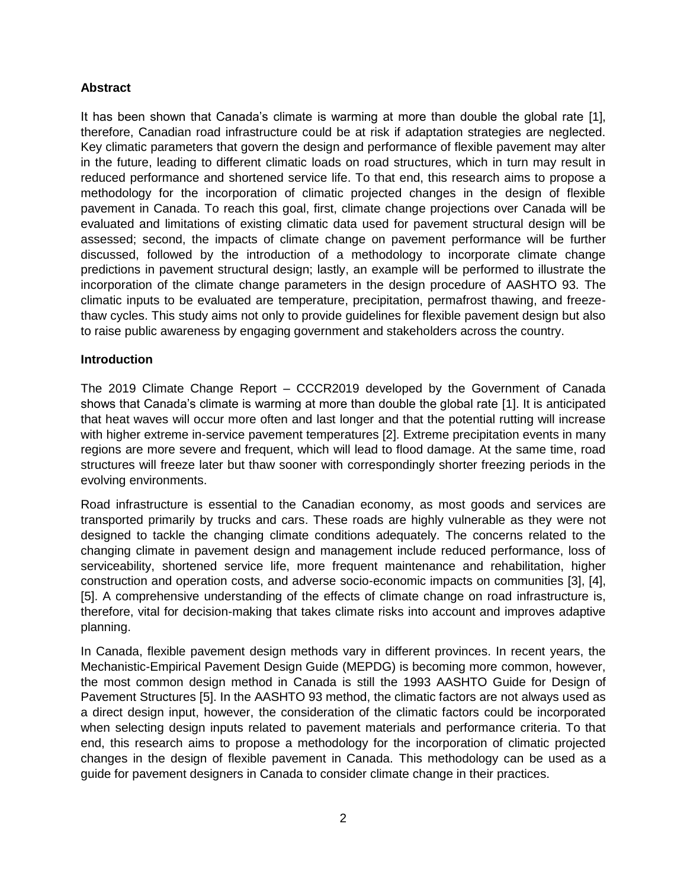# **Abstract**

It has been shown that Canada's climate is warming at more than double the global rate [1], therefore, Canadian road infrastructure could be at risk if adaptation strategies are neglected. Key climatic parameters that govern the design and performance of flexible pavement may alter in the future, leading to different climatic loads on road structures, which in turn may result in reduced performance and shortened service life. To that end, this research aims to propose a methodology for the incorporation of climatic projected changes in the design of flexible pavement in Canada. To reach this goal, first, climate change projections over Canada will be evaluated and limitations of existing climatic data used for pavement structural design will be assessed; second, the impacts of climate change on pavement performance will be further discussed, followed by the introduction of a methodology to incorporate climate change predictions in pavement structural design; lastly, an example will be performed to illustrate the incorporation of the climate change parameters in the design procedure of AASHTO 93. The climatic inputs to be evaluated are temperature, precipitation, permafrost thawing, and freezethaw cycles. This study aims not only to provide guidelines for flexible pavement design but also to raise public awareness by engaging government and stakeholders across the country.

# **Introduction**

The 2019 Climate Change Report – CCCR2019 developed by the Government of Canada shows that Canada's climate is warming at more than double the global rate [1]. It is anticipated that heat waves will occur more often and last longer and that the potential rutting will increase with higher extreme in-service pavement temperatures [2]. Extreme precipitation events in many regions are more severe and frequent, which will lead to flood damage. At the same time, road structures will freeze later but thaw sooner with correspondingly shorter freezing periods in the evolving environments.

Road infrastructure is essential to the Canadian economy, as most goods and services are transported primarily by trucks and cars. These roads are highly vulnerable as they were not designed to tackle the changing climate conditions adequately. The concerns related to the changing climate in pavement design and management include reduced performance, loss of serviceability, shortened service life, more frequent maintenance and rehabilitation, higher construction and operation costs, and adverse socio-economic impacts on communities [3], [4], [5]. A comprehensive understanding of the effects of climate change on road infrastructure is, therefore, vital for decision-making that takes climate risks into account and improves adaptive planning.

In Canada, flexible pavement design methods vary in different provinces. In recent years, the Mechanistic-Empirical Pavement Design Guide (MEPDG) is becoming more common, however, the most common design method in Canada is still the 1993 AASHTO Guide for Design of Pavement Structures [5]. In the AASHTO 93 method, the climatic factors are not always used as a direct design input, however, the consideration of the climatic factors could be incorporated when selecting design inputs related to pavement materials and performance criteria. To that end, this research aims to propose a methodology for the incorporation of climatic projected changes in the design of flexible pavement in Canada. This methodology can be used as a guide for pavement designers in Canada to consider climate change in their practices.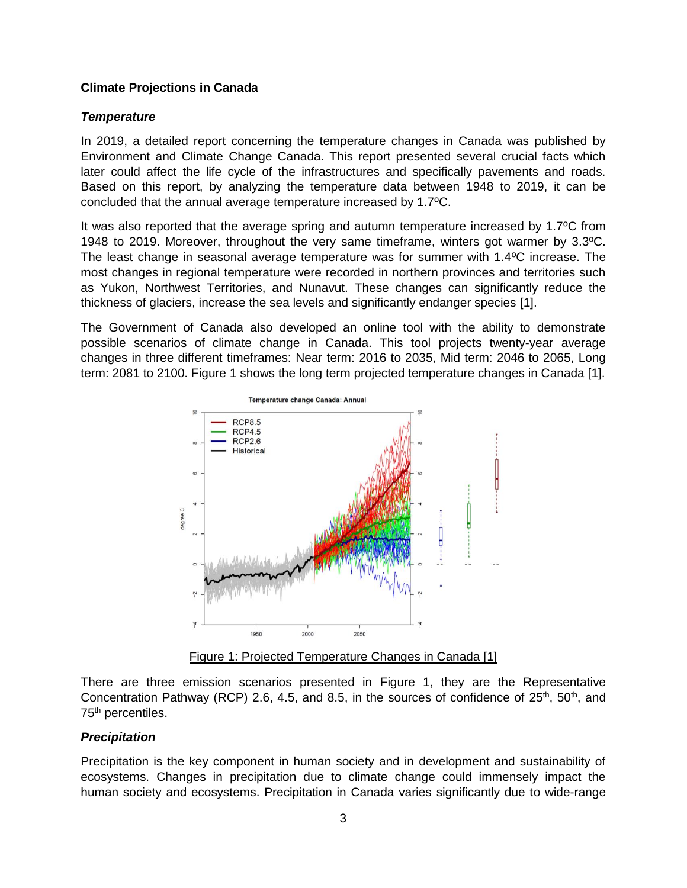## **Climate Projections in Canada**

## *Temperature*

In 2019, a detailed report concerning the temperature changes in Canada was published by Environment and Climate Change Canada. This report presented several crucial facts which later could affect the life cycle of the infrastructures and specifically pavements and roads. Based on this report, by analyzing the temperature data between 1948 to 2019, it can be concluded that the annual average temperature increased by 1.7ºC.

It was also reported that the average spring and autumn temperature increased by 1.7ºC from 1948 to 2019. Moreover, throughout the very same timeframe, winters got warmer by 3.3ºC. The least change in seasonal average temperature was for summer with 1.4ºC increase. The most changes in regional temperature were recorded in northern provinces and territories such as Yukon, Northwest Territories, and Nunavut. These changes can significantly reduce the thickness of glaciers, increase the sea levels and significantly endanger species [1].

The Government of Canada also developed an online tool with the ability to demonstrate possible scenarios of climate change in Canada. This tool projects twenty-year average changes in three different timeframes: Near term: 2016 to 2035, Mid term: 2046 to 2065, Long term: 2081 to 2100. [Figure 1](#page-2-0) shows the long term projected temperature changes in Canada [1].



Figure 1: Projected Temperature Changes in Canada [1]

<span id="page-2-0"></span>There are three emission scenarios presented in [Figure 1,](#page-2-0) they are the Representative Concentration Pathway (RCP) 2.6, 4.5, and 8.5, in the sources of confidence of  $25<sup>th</sup>$ ,  $50<sup>th</sup>$ , and 75<sup>th</sup> percentiles.

# *Precipitation*

Precipitation is the key component in human society and in development and sustainability of ecosystems. Changes in precipitation due to climate change could immensely impact the human society and ecosystems. Precipitation in Canada varies significantly due to wide-range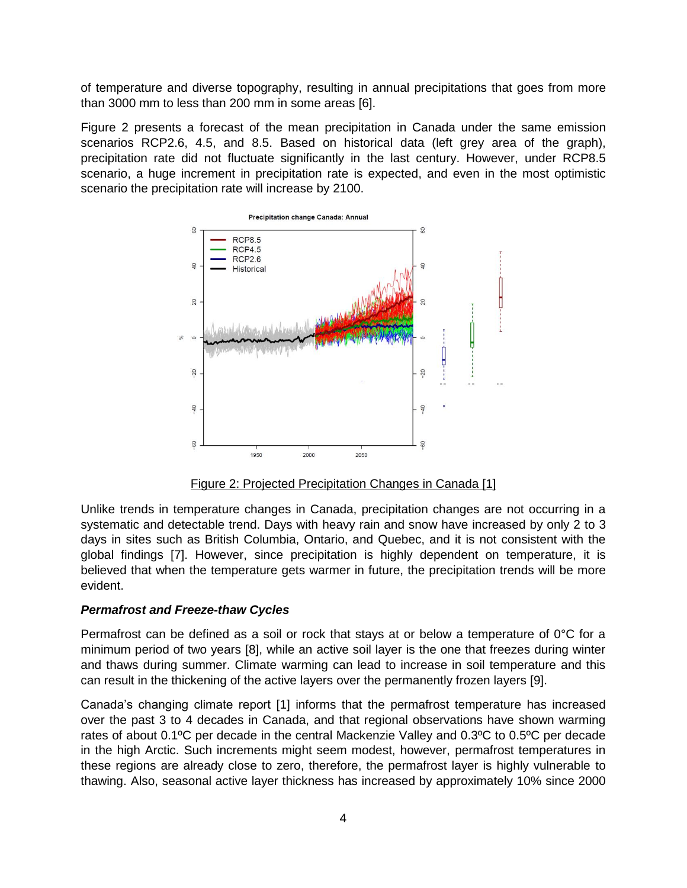of temperature and diverse topography, resulting in annual precipitations that goes from more than 3000 mm to less than 200 mm in some areas [6].

[Figure 2](#page-3-0) presents a forecast of the mean precipitation in Canada under the same emission scenarios RCP2.6, 4.5, and 8.5. Based on historical data (left grey area of the graph), precipitation rate did not fluctuate significantly in the last century. However, under RCP8.5 scenario, a huge increment in precipitation rate is expected, and even in the most optimistic scenario the precipitation rate will increase by 2100.



Figure 2: Projected Precipitation Changes in Canada [1]

<span id="page-3-0"></span>Unlike trends in temperature changes in Canada, precipitation changes are not occurring in a systematic and detectable trend. Days with heavy rain and snow have increased by only 2 to 3 days in sites such as British Columbia, Ontario, and Quebec, and it is not consistent with the global findings [7]. However, since precipitation is highly dependent on temperature, it is believed that when the temperature gets warmer in future, the precipitation trends will be more evident.

# *Permafrost and Freeze-thaw Cycles*

Permafrost can be defined as a soil or rock that stays at or below a temperature of 0°C for a minimum period of two years [8], while an active soil layer is the one that freezes during winter and thaws during summer. Climate warming can lead to increase in soil temperature and this can result in the thickening of the active layers over the permanently frozen layers [9].

Canada's changing climate report [1] informs that the permafrost temperature has increased over the past 3 to 4 decades in Canada, and that regional observations have shown warming rates of about 0.1ºC per decade in the central Mackenzie Valley and 0.3ºC to 0.5ºC per decade in the high Arctic. Such increments might seem modest, however, permafrost temperatures in these regions are already close to zero, therefore, the permafrost layer is highly vulnerable to thawing. Also, seasonal active layer thickness has increased by approximately 10% since 2000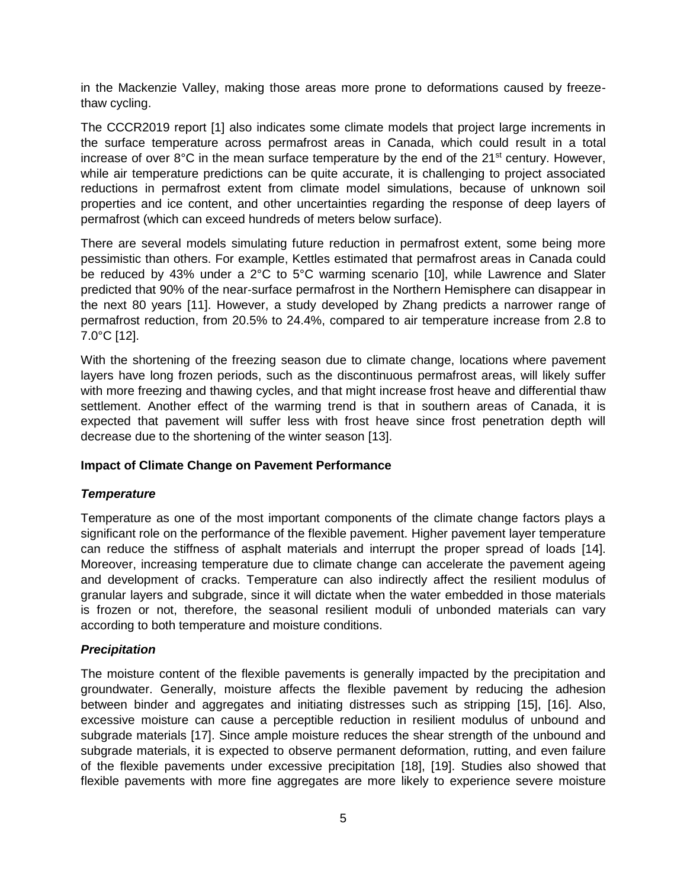in the Mackenzie Valley, making those areas more prone to deformations caused by freezethaw cycling.

The CCCR2019 report [1] also indicates some climate models that project large increments in the surface temperature across permafrost areas in Canada, which could result in a total increase of over  $8^{\circ}$ C in the mean surface temperature by the end of the  $21^{\circ}$ t century. However, while air temperature predictions can be quite accurate, it is challenging to project associated reductions in permafrost extent from climate model simulations, because of unknown soil properties and ice content, and other uncertainties regarding the response of deep layers of permafrost (which can exceed hundreds of meters below surface).

There are several models simulating future reduction in permafrost extent, some being more pessimistic than others. For example, Kettles estimated that permafrost areas in Canada could be reduced by 43% under a 2°C to 5°C warming scenario [10], while Lawrence and Slater predicted that 90% of the near‐surface permafrost in the Northern Hemisphere can disappear in the next 80 years [11]. However, a study developed by Zhang predicts a narrower range of permafrost reduction, from 20.5% to 24.4%, compared to air temperature increase from 2.8 to 7.0°C [12].

With the shortening of the freezing season due to climate change, locations where pavement layers have long frozen periods, such as the discontinuous permafrost areas, will likely suffer with more freezing and thawing cycles, and that might increase frost heave and differential thaw settlement. Another effect of the warming trend is that in southern areas of Canada, it is expected that pavement will suffer less with frost heave since frost penetration depth will decrease due to the shortening of the winter season [13].

#### **Impact of Climate Change on Pavement Performance**

#### *Temperature*

Temperature as one of the most important components of the climate change factors plays a significant role on the performance of the flexible pavement. Higher pavement layer temperature can reduce the stiffness of asphalt materials and interrupt the proper spread of loads [14]. Moreover, increasing temperature due to climate change can accelerate the pavement ageing and development of cracks. Temperature can also indirectly affect the resilient modulus of granular layers and subgrade, since it will dictate when the water embedded in those materials is frozen or not, therefore, the seasonal resilient moduli of unbonded materials can vary according to both temperature and moisture conditions.

# *Precipitation*

The moisture content of the flexible pavements is generally impacted by the precipitation and groundwater. Generally, moisture affects the flexible pavement by reducing the adhesion between binder and aggregates and initiating distresses such as stripping [15], [16]. Also, excessive moisture can cause a perceptible reduction in resilient modulus of unbound and subgrade materials [17]. Since ample moisture reduces the shear strength of the unbound and subgrade materials, it is expected to observe permanent deformation, rutting, and even failure of the flexible pavements under excessive precipitation [18], [19]. Studies also showed that flexible pavements with more fine aggregates are more likely to experience severe moisture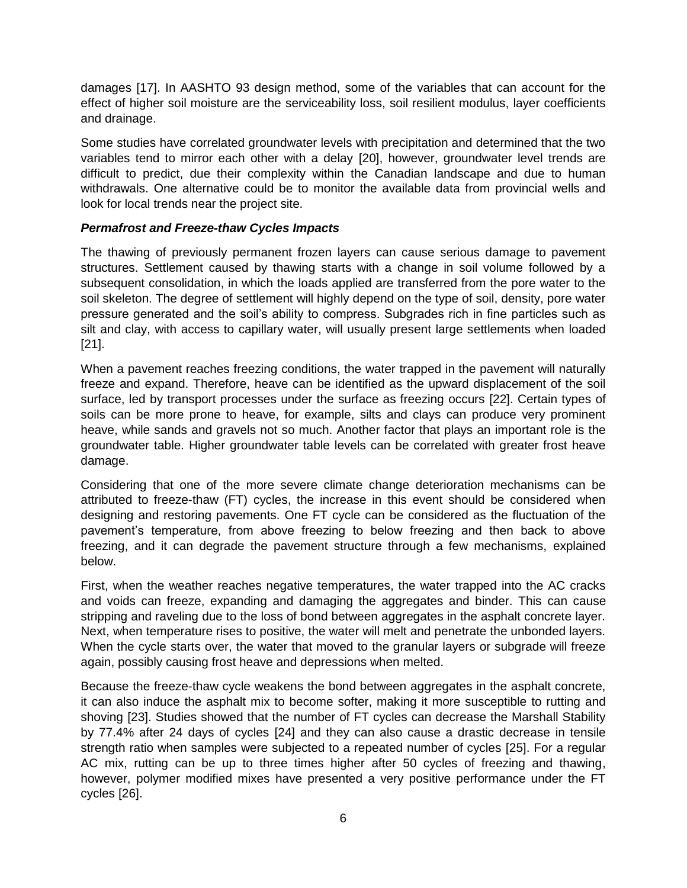damages [17]. In AASHTO 93 design method, some of the variables that can account for the effect of higher soil moisture are the serviceability loss, soil resilient modulus, layer coefficients and drainage.

Some studies have correlated groundwater levels with precipitation and determined that the two variables tend to mirror each other with a delay [20], however, groundwater level trends are difficult to predict, due their complexity within the Canadian landscape and due to human withdrawals. One alternative could be to monitor the available data from provincial wells and look for local trends near the project site.

# *Permafrost and Freeze-thaw Cycles Impacts*

The thawing of previously permanent frozen layers can cause serious damage to pavement structures. Settlement caused by thawing starts with a change in soil volume followed by a subsequent consolidation, in which the loads applied are transferred from the pore water to the soil skeleton. The degree of settlement will highly depend on the type of soil, density, pore water pressure generated and the soil's ability to compress. Subgrades rich in fine particles such as silt and clay, with access to capillary water, will usually present large settlements when loaded [21].

When a pavement reaches freezing conditions, the water trapped in the pavement will naturally freeze and expand. Therefore, heave can be identified as the upward displacement of the soil surface, led by transport processes under the surface as freezing occurs [22]. Certain types of soils can be more prone to heave, for example, silts and clays can produce very prominent heave, while sands and gravels not so much. Another factor that plays an important role is the groundwater table. Higher groundwater table levels can be correlated with greater frost heave damage.

Considering that one of the more severe climate change deterioration mechanisms can be attributed to freeze-thaw (FT) cycles, the increase in this event should be considered when designing and restoring pavements. One FT cycle can be considered as the fluctuation of the pavement's temperature, from above freezing to below freezing and then back to above freezing, and it can degrade the pavement structure through a few mechanisms, explained below.

First, when the weather reaches negative temperatures, the water trapped into the AC cracks and voids can freeze, expanding and damaging the aggregates and binder. This can cause stripping and raveling due to the loss of bond between aggregates in the asphalt concrete layer. Next, when temperature rises to positive, the water will melt and penetrate the unbonded layers. When the cycle starts over, the water that moved to the granular layers or subgrade will freeze again, possibly causing frost heave and depressions when melted.

Because the freeze-thaw cycle weakens the bond between aggregates in the asphalt concrete, it can also induce the asphalt mix to become softer, making it more susceptible to rutting and shoving [23]. Studies showed that the number of FT cycles can decrease the Marshall Stability by 77.4% after 24 days of cycles [24] and they can also cause a drastic decrease in tensile strength ratio when samples were subjected to a repeated number of cycles [25]. For a regular AC mix, rutting can be up to three times higher after 50 cycles of freezing and thawing, however, polymer modified mixes have presented a very positive performance under the FT cycles [26].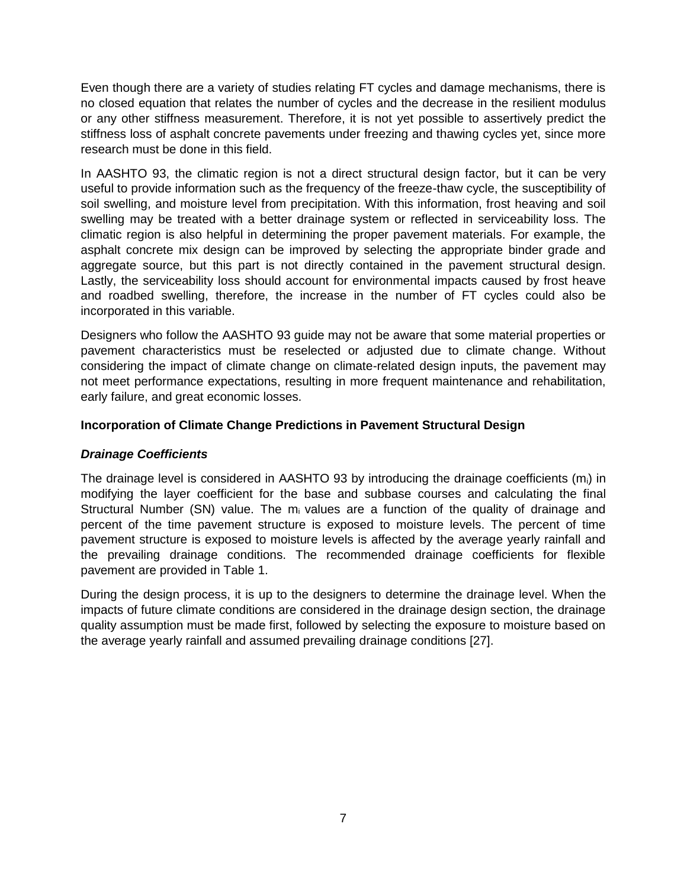Even though there are a variety of studies relating FT cycles and damage mechanisms, there is no closed equation that relates the number of cycles and the decrease in the resilient modulus or any other stiffness measurement. Therefore, it is not yet possible to assertively predict the stiffness loss of asphalt concrete pavements under freezing and thawing cycles yet, since more research must be done in this field.

In AASHTO 93, the climatic region is not a direct structural design factor, but it can be very useful to provide information such as the frequency of the freeze-thaw cycle, the susceptibility of soil swelling, and moisture level from precipitation. With this information, frost heaving and soil swelling may be treated with a better drainage system or reflected in serviceability loss. The climatic region is also helpful in determining the proper pavement materials. For example, the asphalt concrete mix design can be improved by selecting the appropriate binder grade and aggregate source, but this part is not directly contained in the pavement structural design. Lastly, the serviceability loss should account for environmental impacts caused by frost heave and roadbed swelling, therefore, the increase in the number of FT cycles could also be incorporated in this variable.

Designers who follow the AASHTO 93 guide may not be aware that some material properties or pavement characteristics must be reselected or adjusted due to climate change. Without considering the impact of climate change on climate-related design inputs, the pavement may not meet performance expectations, resulting in more frequent maintenance and rehabilitation, early failure, and great economic losses.

# **Incorporation of Climate Change Predictions in Pavement Structural Design**

#### *Drainage Coefficients*

The drainage level is considered in AASHTO 93 by introducing the drainage coefficients  $(m<sub>i</sub>)$  in modifying the layer coefficient for the base and subbase courses and calculating the final Structural Number (SN) value. The  $m_i$  values are a function of the quality of drainage and percent of the time pavement structure is exposed to moisture levels. The percent of time pavement structure is exposed to moisture levels is affected by the average yearly rainfall and the prevailing drainage conditions. The recommended drainage coefficients for flexible pavement are provided in [Table 1.](#page-7-0)

During the design process, it is up to the designers to determine the drainage level. When the impacts of future climate conditions are considered in the drainage design section, the drainage quality assumption must be made first, followed by selecting the exposure to moisture based on the average yearly rainfall and assumed prevailing drainage conditions [27].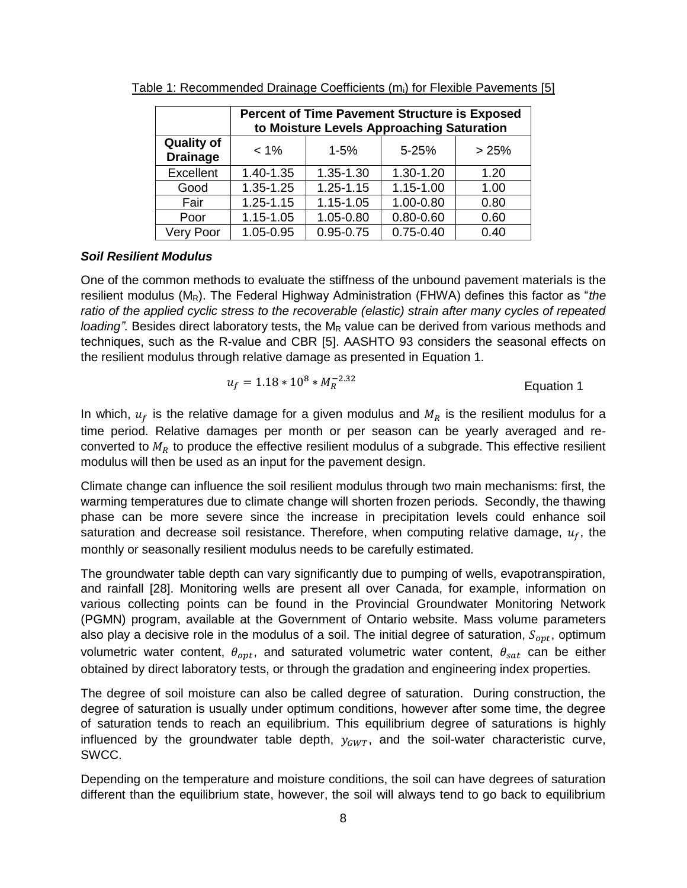|                                      | <b>Percent of Time Pavement Structure is Exposed</b><br>to Moisture Levels Approaching Saturation |               |               |      |  |  |  |
|--------------------------------------|---------------------------------------------------------------------------------------------------|---------------|---------------|------|--|--|--|
| <b>Quality of</b><br><b>Drainage</b> | $5 - 25%$<br>$< 1\%$<br>$1 - 5%$<br>>25%                                                          |               |               |      |  |  |  |
| Excellent                            | 1.40-1.35                                                                                         | 1.35-1.30     | 1.30-1.20     | 1.20 |  |  |  |
| Good                                 | $1.35 - 1.25$                                                                                     | $1.25 - 1.15$ | 1.15-1.00     | 1.00 |  |  |  |
| Fair                                 | $1.25 - 1.15$                                                                                     | $1.15 - 1.05$ | 1.00-0.80     | 0.80 |  |  |  |
| Poor                                 | $1.15 - 1.05$                                                                                     | 1.05-0.80     | $0.80 - 0.60$ | 0.60 |  |  |  |
| Very Poor                            | 1.05-0.95                                                                                         | $0.95 - 0.75$ | $0.75 - 0.40$ | 0.40 |  |  |  |

<span id="page-7-0"></span>Table 1: Recommended Drainage Coefficients  $(m<sub>i</sub>)$  for Flexible Pavements [5]

#### *Soil Resilient Modulus*

One of the common methods to evaluate the stiffness of the unbound pavement materials is the resilient modulus (MR). The Federal Highway Administration (FHWA) defines this factor as "*the ratio of the applied cyclic stress to the recoverable (elastic) strain after many cycles of repeated loading*". Besides direct laboratory tests, the  $M_R$  value can be derived from various methods and techniques, such as the R-value and CBR [5]. AASHTO 93 considers the seasonal effects on the resilient modulus through relative damage as presented in [Equation 1.](#page-7-1)

<span id="page-7-1"></span>
$$
u_f = 1.18 * 10^8 * M_R^{-2.32}
$$
 Equation 1

In which,  $u_f$  is the relative damage for a given modulus and  $M_R$  is the resilient modulus for a time period. Relative damages per month or per season can be yearly averaged and reconverted to  $M_R$  to produce the effective resilient modulus of a subgrade. This effective resilient modulus will then be used as an input for the pavement design.

Climate change can influence the soil resilient modulus through two main mechanisms: first, the warming temperatures due to climate change will shorten frozen periods. Secondly, the thawing phase can be more severe since the increase in precipitation levels could enhance soil saturation and decrease soil resistance. Therefore, when computing relative damage,  $u_f$ , the monthly or seasonally resilient modulus needs to be carefully estimated.

The groundwater table depth can vary significantly due to pumping of wells, evapotranspiration, and rainfall [28]. Monitoring wells are present all over Canada, for example, information on various collecting points can be found in the Provincial Groundwater Monitoring Network (PGMN) program, available at the Government of Ontario website. Mass volume parameters also play a decisive role in the modulus of a soil. The initial degree of saturation,  $S_{opt}$ , optimum volumetric water content,  $\theta_{opt}$ , and saturated volumetric water content,  $\theta_{sat}$  can be either obtained by direct laboratory tests, or through the gradation and engineering index properties.

The degree of soil moisture can also be called degree of saturation. During construction, the degree of saturation is usually under optimum conditions, however after some time, the degree of saturation tends to reach an equilibrium. This equilibrium degree of saturations is highly influenced by the groundwater table depth,  $y_{GWT}$ , and the soil-water characteristic curve, SWCC.

Depending on the temperature and moisture conditions, the soil can have degrees of saturation different than the equilibrium state, however, the soil will always tend to go back to equilibrium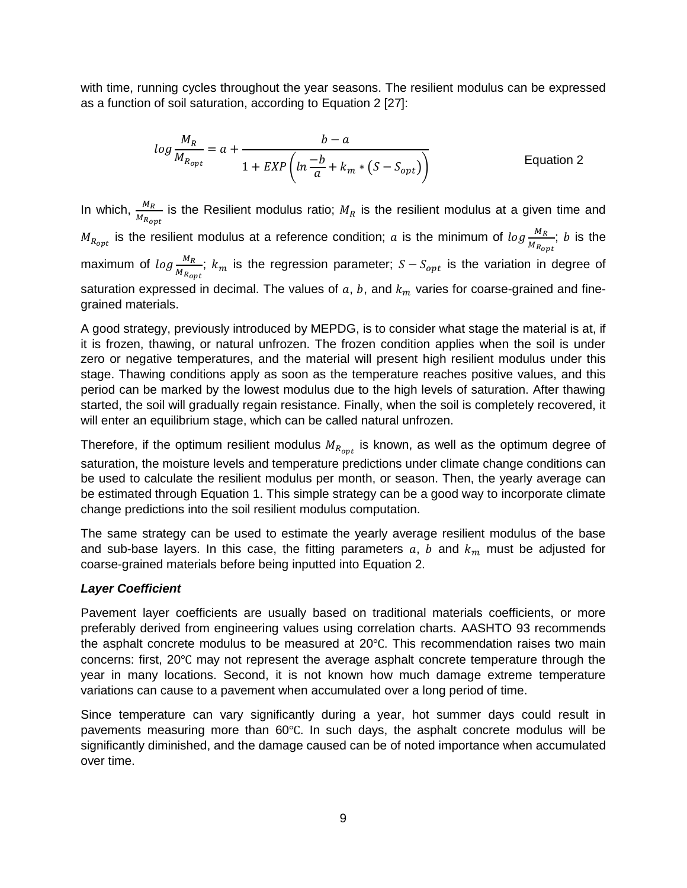with time, running cycles throughout the year seasons. The resilient modulus can be expressed as a function of soil saturation, according to [Equation 2](#page-8-0) [27]:

<span id="page-8-0"></span>
$$
log \frac{M_R}{M_{R_{opt}}} = a + \frac{b - a}{1 + EXP\left(ln \frac{-b}{a} + k_m * (S - S_{opt})\right)}
$$
 Equation 2

In which,  $\frac{M_R}{M}$  $\frac{m_R}{M_{R_{opt}}}$  is the Resilient modulus ratio;  $M_R$  is the resilient modulus at a given time and  $M_{R_{opt}}$  is the resilient modulus at a reference condition;  $a$  is the minimum of  $log \frac{M_R}{M_{R_{opt}}}$ ;  $b$  is the maximum of  $log \frac{M_R}{M_{R_{opt}}}$ ;  $k_m$  is the regression parameter;  $S-S_{opt}$  is the variation in degree of saturation expressed in decimal. The values of  $a, b$ , and  $k<sub>m</sub>$  varies for coarse-grained and finegrained materials.

A good strategy, previously introduced by MEPDG, is to consider what stage the material is at, if it is frozen, thawing, or natural unfrozen. The frozen condition applies when the soil is under zero or negative temperatures, and the material will present high resilient modulus under this stage. Thawing conditions apply as soon as the temperature reaches positive values, and this period can be marked by the lowest modulus due to the high levels of saturation. After thawing started, the soil will gradually regain resistance. Finally, when the soil is completely recovered, it will enter an equilibrium stage, which can be called natural unfrozen.

Therefore, if the optimum resilient modulus  $M_{R_{opt}}$  is known, as well as the optimum degree of saturation, the moisture levels and temperature predictions under climate change conditions can be used to calculate the resilient modulus per month, or season. Then, the yearly average can be estimated through [Equation 1.](#page-7-1) This simple strategy can be a good way to incorporate climate change predictions into the soil resilient modulus computation.

The same strategy can be used to estimate the yearly average resilient modulus of the base and sub-base layers. In this case, the fitting parameters  $a, b$  and  $k_m$  must be adjusted for coarse-grained materials before being inputted into [Equation 2.](#page-8-0)

# *Layer Coefficient*

Pavement layer coefficients are usually based on traditional materials coefficients, or more preferably derived from engineering values using correlation charts. AASHTO 93 recommends the asphalt concrete modulus to be measured at 20℃. This recommendation raises two main concerns: first, 20℃ may not represent the average asphalt concrete temperature through the year in many locations. Second, it is not known how much damage extreme temperature variations can cause to a pavement when accumulated over a long period of time.

Since temperature can vary significantly during a year, hot summer days could result in pavements measuring more than 60℃. In such days, the asphalt concrete modulus will be significantly diminished, and the damage caused can be of noted importance when accumulated over time.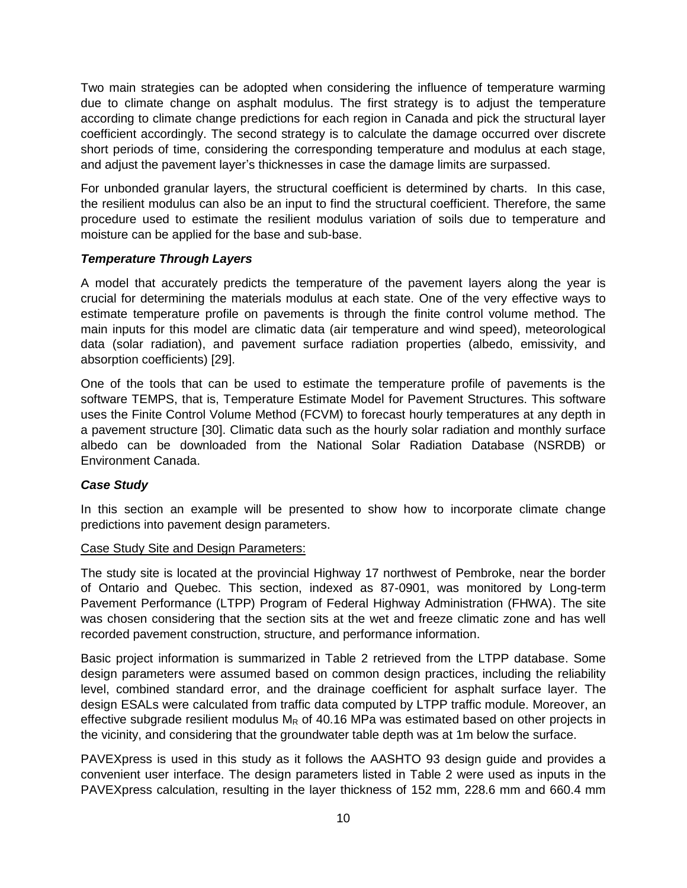Two main strategies can be adopted when considering the influence of temperature warming due to climate change on asphalt modulus. The first strategy is to adjust the temperature according to climate change predictions for each region in Canada and pick the structural layer coefficient accordingly. The second strategy is to calculate the damage occurred over discrete short periods of time, considering the corresponding temperature and modulus at each stage, and adjust the pavement layer's thicknesses in case the damage limits are surpassed.

For unbonded granular layers, the structural coefficient is determined by charts. In this case, the resilient modulus can also be an input to find the structural coefficient. Therefore, the same procedure used to estimate the resilient modulus variation of soils due to temperature and moisture can be applied for the base and sub-base.

## *Temperature Through Layers*

A model that accurately predicts the temperature of the pavement layers along the year is crucial for determining the materials modulus at each state. One of the very effective ways to estimate temperature profile on pavements is through the finite control volume method. The main inputs for this model are climatic data (air temperature and wind speed), meteorological data (solar radiation), and pavement surface radiation properties (albedo, emissivity, and absorption coefficients) [29].

One of the tools that can be used to estimate the temperature profile of pavements is the software TEMPS, that is, Temperature Estimate Model for Pavement Structures. This software uses the Finite Control Volume Method (FCVM) to forecast hourly temperatures at any depth in a pavement structure [30]. Climatic data such as the hourly solar radiation and monthly surface albedo can be downloaded from the National Solar Radiation Database (NSRDB) or Environment Canada.

#### *Case Study*

In this section an example will be presented to show how to incorporate climate change predictions into pavement design parameters.

#### Case Study Site and Design Parameters:

The study site is located at the provincial Highway 17 northwest of Pembroke, near the border of Ontario and Quebec. This section, indexed as 87-0901, was monitored by Long-term Pavement Performance (LTPP) Program of Federal Highway Administration (FHWA). The site was chosen considering that the section sits at the wet and freeze climatic zone and has well recorded pavement construction, structure, and performance information.

Basic project information is summarized in [Table 2](#page-10-0) retrieved from the LTPP database. Some design parameters were assumed based on common design practices, including the reliability level, combined standard error, and the drainage coefficient for asphalt surface layer. The design ESALs were calculated from traffic data computed by LTPP traffic module. Moreover, an effective subgrade resilient modulus  $M_R$  of 40.16 MPa was estimated based on other projects in the vicinity, and considering that the groundwater table depth was at 1m below the surface.

PAVEXpress is used in this study as it follows the AASHTO 93 design guide and provides a convenient user interface. The design parameters listed in [Table 2](#page-10-0) were used as inputs in the PAVEXpress calculation, resulting in the layer thickness of 152 mm, 228.6 mm and 660.4 mm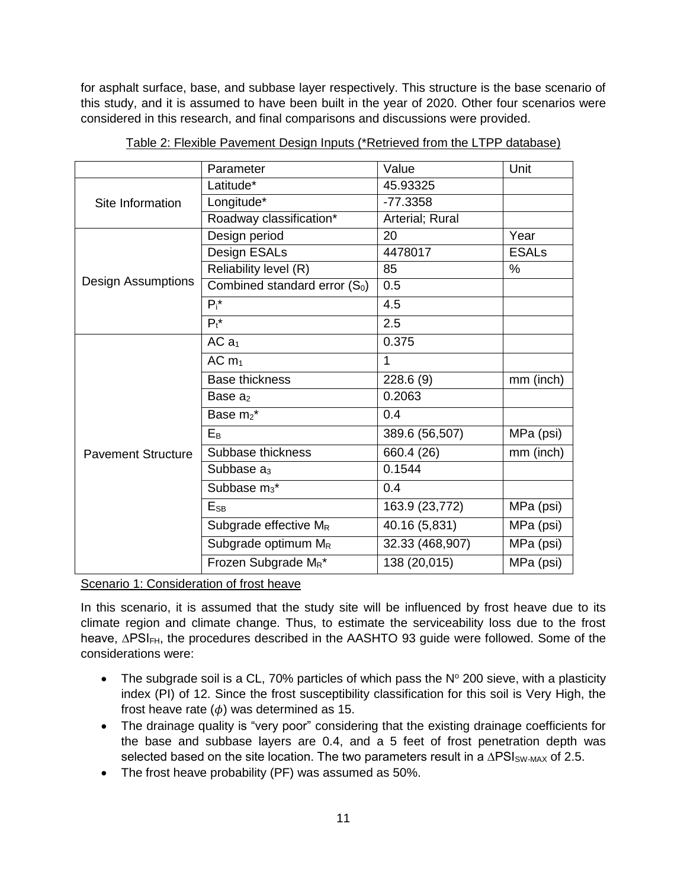for asphalt surface, base, and subbase layer respectively. This structure is the base scenario of this study, and it is assumed to have been built in the year of 2020. Other four scenarios were considered in this research, and final comparisons and discussions were provided.

<span id="page-10-0"></span>

|                           | Parameter                                 | Value           | Unit         |
|---------------------------|-------------------------------------------|-----------------|--------------|
|                           | Latitude*                                 | 45.93325        |              |
| Site Information          | Longitude*                                | $-77.3358$      |              |
|                           | Roadway classification*                   | Arterial; Rural |              |
|                           | Design period                             | 20              | Year         |
|                           | Design ESALs                              | 4478017         | <b>ESALs</b> |
|                           | Reliability level (R)                     | 85              | %            |
| <b>Design Assumptions</b> | Combined standard error (S <sub>0</sub> ) | 0.5             |              |
|                           | $P_i^*$                                   | 4.5             |              |
|                           | $P_t^*$                                   | 2.5             |              |
|                           | ACa <sub>1</sub>                          | 0.375           |              |
|                           | ACm <sub>1</sub>                          | 1               |              |
|                           | <b>Base thickness</b>                     | 228.6(9)        | mm (inch)    |
|                           | Base $a_2$                                | 0.2063          |              |
|                           | Base m <sub>2</sub> *                     | 0.4             |              |
|                           | $E_B$                                     | 389.6 (56,507)  | MPa (psi)    |
| <b>Pavement Structure</b> | Subbase thickness                         | 660.4 (26)      | mm (inch)    |
|                           | Subbase a <sub>3</sub>                    | 0.1544          |              |
|                           | Subbase $m_3$ <sup>*</sup>                | 0.4             |              |
|                           | E <sub>SB</sub>                           | 163.9 (23,772)  | MPa (psi)    |
|                           | Subgrade effective $M_R$                  | 40.16 (5,831)   | MPa (psi)    |
|                           | Subgrade optimum M <sub>R</sub>           | 32.33 (468,907) | MPa (psi)    |
|                           | Frozen Subgrade M <sub>R</sub> *          | 138 (20,015)    | MPa (psi)    |

Table 2: Flexible Pavement Design Inputs (\*Retrieved from the LTPP database)

Scenario 1: Consideration of frost heave

In this scenario, it is assumed that the study site will be influenced by frost heave due to its climate region and climate change. Thus, to estimate the serviceability loss due to the frost heave, ∆PSI<sub>FH</sub>, the procedures described in the AASHTO 93 guide were followed. Some of the considerations were:

- The subgrade soil is a CL, 70% particles of which pass the  $N^{\circ}$  200 sieve, with a plasticity index (PI) of 12. Since the frost susceptibility classification for this soil is Very High, the frost heave rate  $(\phi)$  was determined as 15.
- The drainage quality is "very poor" considering that the existing drainage coefficients for the base and subbase layers are 0.4, and a 5 feet of frost penetration depth was selected based on the site location. The two parameters result in a  $\Delta PSI<sub>SW-MAX</sub>$  of 2.5.
- The frost heave probability (PF) was assumed as 50%.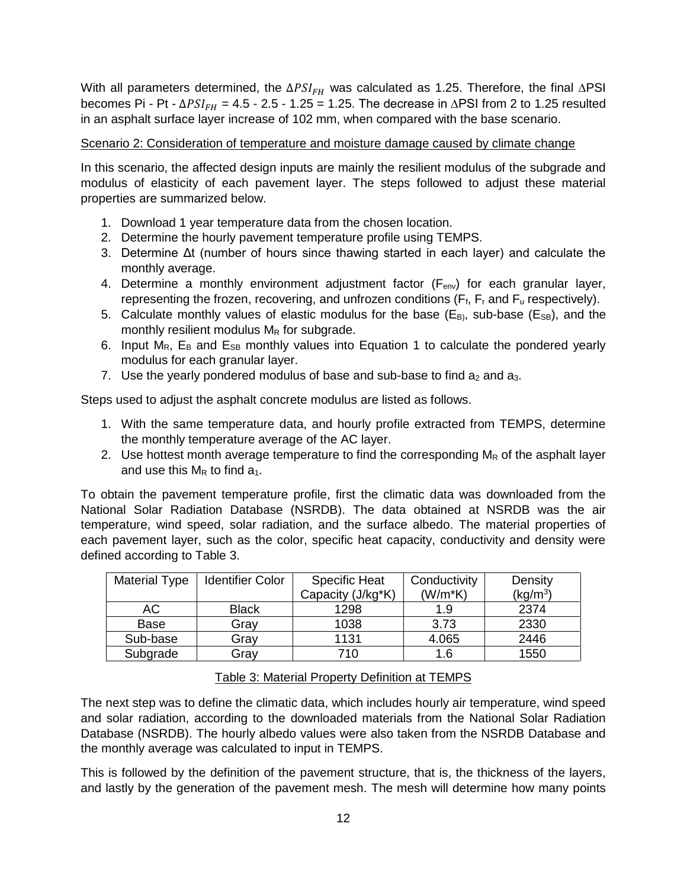With all parameters determined, the  $\Delta PSI_{FH}$  was calculated as 1.25. Therefore, the final  $\Delta PSI$ becomes Pi - Pt -  $ΔPSI_{FH} = 4.5 - 2.5 - 1.25 = 1.25$ . The decrease in  $ΔPSI$  from 2 to 1.25 resulted in an asphalt surface layer increase of 102 mm, when compared with the base scenario.

## Scenario 2: Consideration of temperature and moisture damage caused by climate change

In this scenario, the affected design inputs are mainly the resilient modulus of the subgrade and modulus of elasticity of each pavement layer. The steps followed to adjust these material properties are summarized below.

- 1. Download 1 year temperature data from the chosen location.
- 2. Determine the hourly pavement temperature profile using TEMPS.
- 3. Determine Δt (number of hours since thawing started in each layer) and calculate the monthly average.
- 4. Determine a monthly environment adjustment factor  $(F_{env})$  for each granular layer, representing the frozen, recovering, and unfrozen conditions ( $F_f$ ,  $F_r$  and  $F_u$  respectively).
- 5. Calculate monthly values of elastic modulus for the base ( $E_{B}$ ), sub-base ( $E_{SB}$ ), and the monthly resilient modulus  $M_R$  for subgrade.
- 6. Input  $M_{R}$ ,  $E_{B}$  and  $E_{SB}$  monthly values into [Equation 1](#page-7-1) to calculate the pondered yearly modulus for each granular layer.
- 7. Use the yearly pondered modulus of base and sub-base to find  $a_2$  and  $a_3$ .

Steps used to adjust the asphalt concrete modulus are listed as follows.

- 1. With the same temperature data, and hourly profile extracted from TEMPS, determine the monthly temperature average of the AC layer.
- 2. Use hottest month average temperature to find the corresponding  $M_R$  of the asphalt layer and use this  $M_R$  to find  $a_1$ .

To obtain the pavement temperature profile, first the climatic data was downloaded from the National Solar Radiation Database (NSRDB). The data obtained at NSRDB was the air temperature, wind speed, solar radiation, and the surface albedo. The material properties of each pavement layer, such as the color, specific heat capacity, conductivity and density were defined according to [Table 3.](#page-11-0)

| <b>Material Type</b> | <b>Identifier Color</b> | <b>Specific Heat</b> | Conductivity | Density    |
|----------------------|-------------------------|----------------------|--------------|------------|
|                      |                         | Capacity (J/kg*K)    | $(W/m*K)$    | $(kq/m^3)$ |
| AC.                  | <b>Black</b>            | 1298                 | 1.9          | 2374       |
| Base                 | Gray                    | 1038                 | 3.73         | 2330       |
| Sub-base             | Gray                    | 1131                 | 4.065        | 2446       |
| Subgrade             | Gray                    | 710                  | 1.6          | 1550       |

# Table 3: Material Property Definition at TEMPS

<span id="page-11-0"></span>The next step was to define the climatic data, which includes hourly air temperature, wind speed and solar radiation, according to the downloaded materials from the National Solar Radiation Database (NSRDB). The hourly albedo values were also taken from the NSRDB Database and the monthly average was calculated to input in TEMPS.

This is followed by the definition of the pavement structure, that is, the thickness of the layers, and lastly by the generation of the pavement mesh. The mesh will determine how many points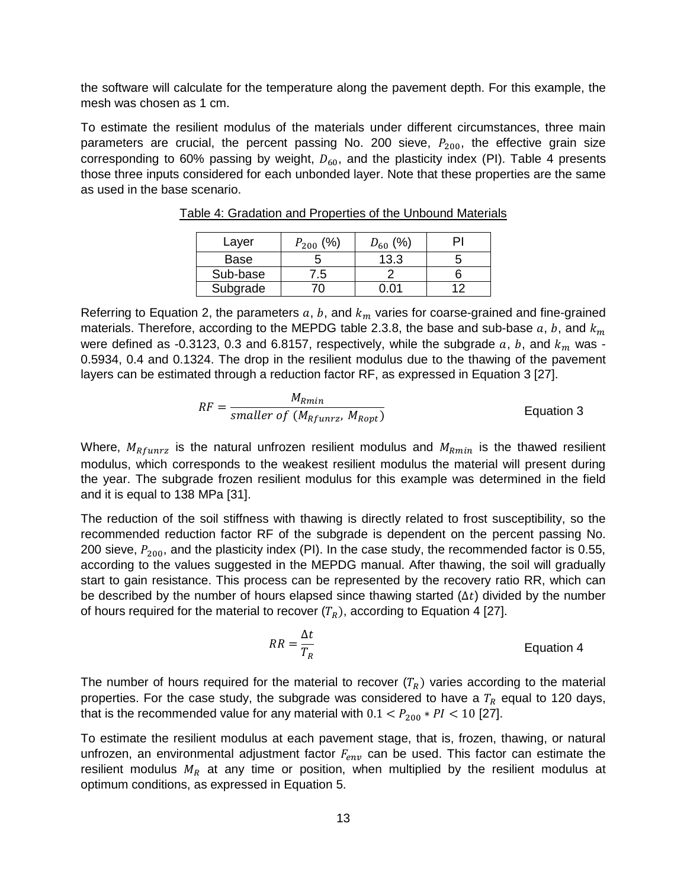the software will calculate for the temperature along the pavement depth. For this example, the mesh was chosen as 1 cm.

<span id="page-12-0"></span>To estimate the resilient modulus of the materials under different circumstances, three main parameters are crucial, the percent passing No. 200 sieve,  $P_{200}$ , the effective grain size corresponding to 60% passing by weight,  $D_{60}$ , and the plasticity index (PI). [Table 4](#page-12-0) presents those three inputs considered for each unbonded layer. Note that these properties are the same as used in the base scenario.

| Layer    | (%)<br>$P_{200}$ | (%)<br>$D_{60}$ |  |
|----------|------------------|-----------------|--|
| Base     |                  | 13.3            |  |
| Sub-base | $\cdot$ .5       |                 |  |
| Subgrade |                  |                 |  |

Table 4: Gradation and Properties of the Unbound Materials

Referring to [Equation 2,](#page-8-0) the parameters  $a, b$ , and  $k<sub>m</sub>$  varies for coarse-grained and fine-grained materials. Therefore, according to the MEPDG table 2.3.8, the base and sub-base  $a, b$ , and  $k_m$ were defined as -0.3123, 0.3 and 6.8157, respectively, while the subgrade  $a, b$ , and  $k_m$  was -0.5934, 0.4 and 0.1324. The drop in the resilient modulus due to the thawing of the pavement layers can be estimated through a reduction factor RF, as expressed in [Equation 3](#page-12-1) [27].

<span id="page-12-1"></span>
$$
RF = \frac{M_{Rmin}}{smaller\ of\ (M_{Rfunrz},\ M_{Ropt})}
$$
  Equation 3

Where,  $M_{Rfunrz}$  is the natural unfrozen resilient modulus and  $M_{Rmin}$  is the thawed resilient modulus, which corresponds to the weakest resilient modulus the material will present during the year. The subgrade frozen resilient modulus for this example was determined in the field and it is equal to 138 MPa [31].

The reduction of the soil stiffness with thawing is directly related to frost susceptibility, so the recommended reduction factor RF of the subgrade is dependent on the percent passing No. 200 sieve,  $P_{200}$ , and the plasticity index (PI). In the case study, the recommended factor is 0.55, according to the values suggested in the MEPDG manual. After thawing, the soil will gradually start to gain resistance. This process can be represented by the recovery ratio RR, which can be described by the number of hours elapsed since thawing started  $(\Delta t)$  divided by the number of hours required for the material to recover  $(T_R)$ , according to [Equation 4](#page-12-2) [27].

<span id="page-12-2"></span>
$$
RR = \frac{\Delta t}{T_R}
$$
 Equation 4

The number of hours required for the material to recover  $(T_R)$  varies according to the material properties. For the case study, the subgrade was considered to have a  $T_R$  equal to 120 days, that is the recommended value for any material with  $0.1 < P_{200} * PI < 10$  [27].

To estimate the resilient modulus at each pavement stage, that is, frozen, thawing, or natural unfrozen, an environmental adjustment factor  $F_{env}$  can be used. This factor can estimate the resilient modulus  $M_R$  at any time or position, when multiplied by the resilient modulus at optimum conditions, as expressed in [Equation 5.](#page-13-0)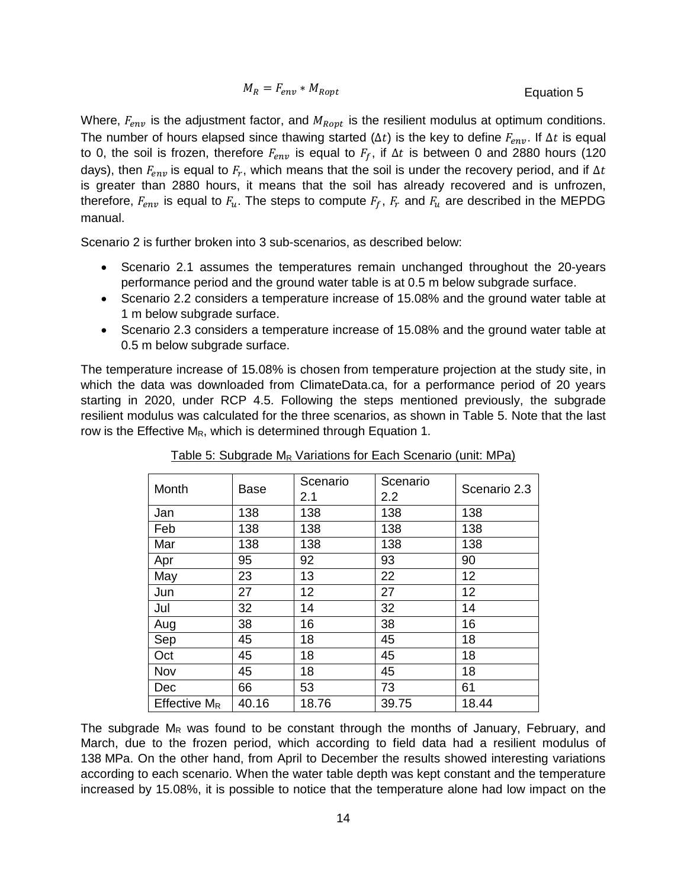<span id="page-13-0"></span>
$$
M_R = F_{env} * M_{Ropt}
$$
   
Equation 5

Where,  $F_{env}$  is the adjustment factor, and  $M_{Ropt}$  is the resilient modulus at optimum conditions. The number of hours elapsed since thawing started ( $\Delta t$ ) is the key to define  $F_{env}$ . If  $\Delta t$  is equal to 0, the soil is frozen, therefore  $F_{env}$  is equal to  $F_f$ , if  $\Delta t$  is between 0 and 2880 hours (120 days), then  $F_{env}$  is equal to  $F_r$ , which means that the soil is under the recovery period, and if  $\Delta t$ is greater than 2880 hours, it means that the soil has already recovered and is unfrozen, therefore,  $F_{env}$  is equal to  $F_u$ . The steps to compute  $F_f$ ,  $F_r$  and  $F_u$  are described in the MEPDG manual.

Scenario 2 is further broken into 3 sub-scenarios, as described below:

- Scenario 2.1 assumes the temperatures remain unchanged throughout the 20-years performance period and the ground water table is at 0.5 m below subgrade surface.
- Scenario 2.2 considers a temperature increase of 15.08% and the ground water table at 1 m below subgrade surface.
- Scenario 2.3 considers a temperature increase of 15.08% and the ground water table at 0.5 m below subgrade surface.

The temperature increase of 15.08% is chosen from temperature projection at the study site, in which the data was downloaded from ClimateData.ca, for a performance period of 20 years starting in 2020, under RCP 4.5. Following the steps mentioned previously, the subgrade resilient modulus was calculated for the three scenarios, as shown in [Table 5.](#page-13-1) Note that the last row is the Effective  $M_R$ , which is determined through [Equation 1.](#page-7-1)

<span id="page-13-1"></span>

| Month           |             | Scenario | Scenario |              |
|-----------------|-------------|----------|----------|--------------|
|                 | <b>Base</b> | 2.1      | 2.2      | Scenario 2.3 |
| Jan             | 138         | 138      | 138      | 138          |
| Feb             | 138         | 138      | 138      | 138          |
| Mar             | 138         | 138      | 138      | 138          |
| Apr             | 95          | 92       | 93       | 90           |
| May             | 23          | 13       | 22       | 12           |
| Jun             | 27          | 12       | 27       | 12           |
| Jul             | 32          | 14       | 32       | 14           |
| Aug             | 38          | 16       | 38       | 16           |
| Sep             | 45          | 18       | 45       | 18           |
| Oct             | 45          | 18       | 45       | 18           |
| Nov             | 45          | 18       | 45       | 18           |
| Dec             | 66          | 53       | 73       | 61           |
| Effective $M_R$ | 40.16       | 18.76    | 39.75    | 18.44        |

Table 5: Subgrade M<sub>R</sub> Variations for Each Scenario (unit: MPa)

The subgrade  $M_R$  was found to be constant through the months of January, February, and March, due to the frozen period, which according to field data had a resilient modulus of 138 MPa. On the other hand, from April to December the results showed interesting variations according to each scenario. When the water table depth was kept constant and the temperature increased by 15.08%, it is possible to notice that the temperature alone had low impact on the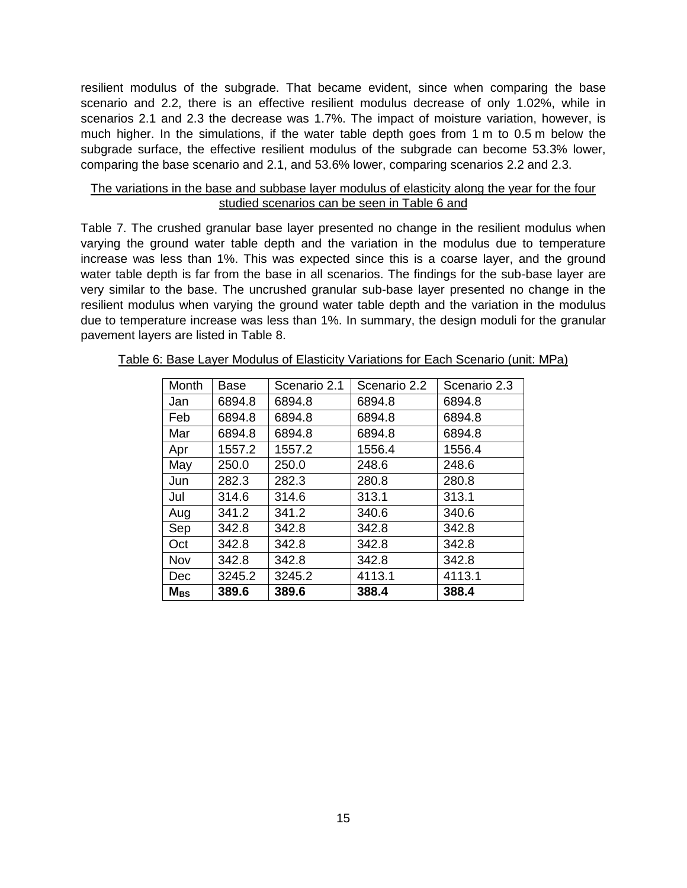resilient modulus of the subgrade. That became evident, since when comparing the base scenario and 2.2, there is an effective resilient modulus decrease of only 1.02%, while in scenarios 2.1 and 2.3 the decrease was 1.7%. The impact of moisture variation, however, is much higher. In the simulations, if the water table depth goes from 1 m to 0.5 m below the subgrade surface, the effective resilient modulus of the subgrade can become 53.3% lower, comparing the base scenario and 2.1, and 53.6% lower, comparing scenarios 2.2 and 2.3.

## The variations in the base and subbase layer modulus of elasticity along the year for the four studied scenarios can be seen in [Table 6](#page-14-0) and

[Table 7.](#page-14-1) The crushed granular base layer presented no change in the resilient modulus when varying the ground water table depth and the variation in the modulus due to temperature increase was less than 1%. This was expected since this is a coarse layer, and the ground water table depth is far from the base in all scenarios. The findings for the sub-base layer are very similar to the base. The uncrushed granular sub-base layer presented no change in the resilient modulus when varying the ground water table depth and the variation in the modulus due to temperature increase was less than 1%. In summary, the design moduli for the granular pavement layers are listed in [Table 8.](#page-15-0)

<span id="page-14-1"></span>

| Month    | Base   | Scenario 2.1 | Scenario 2.2 | Scenario 2.3 |
|----------|--------|--------------|--------------|--------------|
| Jan      | 6894.8 | 6894.8       | 6894.8       | 6894.8       |
| Feb      | 6894.8 | 6894.8       | 6894.8       | 6894.8       |
| Mar      | 6894.8 | 6894.8       | 6894.8       | 6894.8       |
| Apr      | 1557.2 | 1557.2       | 1556.4       | 1556.4       |
| May      | 250.0  | 250.0        | 248.6        | 248.6        |
| Jun      | 282.3  | 282.3        | 280.8        | 280.8        |
| Jul      | 314.6  | 314.6        | 313.1        | 313.1        |
| Aug      | 341.2  | 341.2        | 340.6        | 340.6        |
| Sep      | 342.8  | 342.8        | 342.8        | 342.8        |
| Oct      | 342.8  | 342.8        | 342.8        | 342.8        |
| Nov      | 342.8  | 342.8        | 342.8        | 342.8        |
| Dec      | 3245.2 | 3245.2       | 4113.1       | 4113.1       |
| $M_{BS}$ | 389.6  | 389.6        | 388.4        | 388.4        |

<span id="page-14-0"></span>Table 6: Base Layer Modulus of Elasticity Variations for Each Scenario (unit: MPa)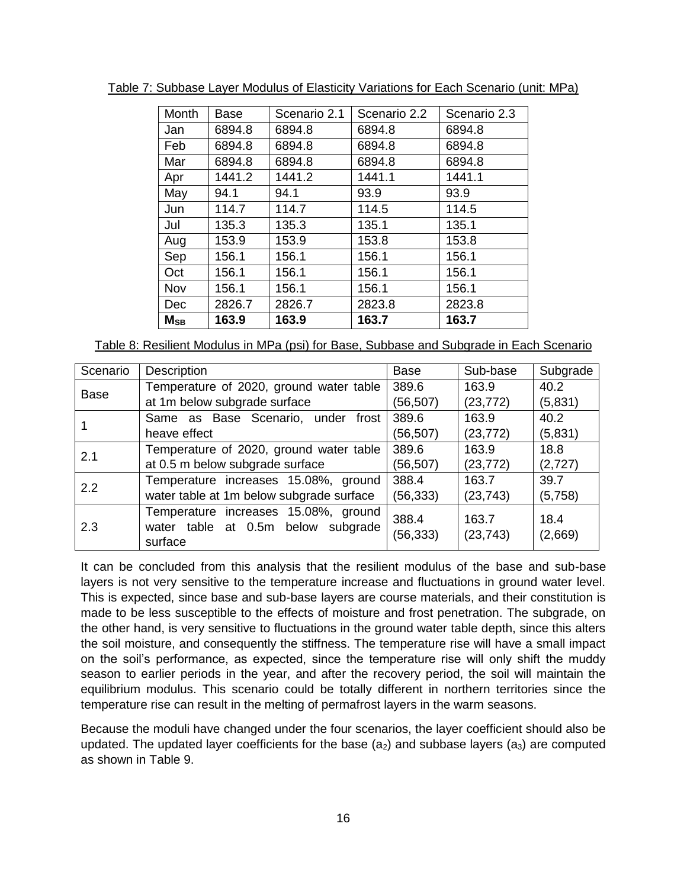| Month    | Base   | Scenario 2.1 | Scenario 2.2 | Scenario 2.3 |
|----------|--------|--------------|--------------|--------------|
| Jan      | 6894.8 | 6894.8       | 6894.8       | 6894.8       |
| Feb      | 6894.8 | 6894.8       | 6894.8       | 6894.8       |
| Mar      | 6894.8 | 6894.8       | 6894.8       | 6894.8       |
| Apr      | 1441.2 | 1441.2       | 1441.1       | 1441.1       |
| May      | 94.1   | 94.1         | 93.9         | 93.9         |
| Jun      | 114.7  | 114.7        | 114.5        | 114.5        |
| Jul      | 135.3  | 135.3        | 135.1        | 135.1        |
| Aug      | 153.9  | 153.9        | 153.8        | 153.8        |
| Sep      | 156.1  | 156.1        | 156.1        | 156.1        |
| Oct      | 156.1  | 156.1        | 156.1        | 156.1        |
| Nov      | 156.1  | 156.1        | 156.1        | 156.1        |
| Dec      | 2826.7 | 2826.7       | 2823.8       | 2823.8       |
| $M_{SB}$ | 163.9  | 163.9        | 163.7        | 163.7        |

Table 7: Subbase Layer Modulus of Elasticity Variations for Each Scenario (unit: MPa)

<span id="page-15-0"></span>Table 8: Resilient Modulus in MPa (psi) for Base, Subbase and Subgrade in Each Scenario

| Scenario    | Description                              | Base      | Sub-base  | Subgrade |
|-------------|------------------------------------------|-----------|-----------|----------|
| <b>Base</b> | Temperature of 2020, ground water table  | 389.6     | 163.9     | 40.2     |
|             | at 1m below subgrade surface             | (56, 507) | (23, 772) | (5,831)  |
|             | Same as Base Scenario, under frost       | 389.6     | 163.9     | 40.2     |
|             | heave effect                             | (56, 507) | (23, 772) | (5,831)  |
|             | Temperature of 2020, ground water table  | 389.6     | 163.9     | 18.8     |
| 2.1         | at 0.5 m below subgrade surface          | (56, 507) | (23, 772) | (2,727)  |
| 2.2         | Temperature increases 15.08%, ground     | 388.4     | 163.7     | 39.7     |
|             | water table at 1m below subgrade surface | (56, 333) | (23, 743) | (5,758)  |
| 2.3         | Temperature increases 15.08%, ground     | 388.4     | 163.7     | 18.4     |
|             | water table at 0.5m below subgrade       | (56, 333) | (23, 743) | (2,669)  |
|             | surface                                  |           |           |          |

It can be concluded from this analysis that the resilient modulus of the base and sub-base layers is not very sensitive to the temperature increase and fluctuations in ground water level. This is expected, since base and sub-base layers are course materials, and their constitution is made to be less susceptible to the effects of moisture and frost penetration. The subgrade, on the other hand, is very sensitive to fluctuations in the ground water table depth, since this alters the soil moisture, and consequently the stiffness. The temperature rise will have a small impact on the soil's performance, as expected, since the temperature rise will only shift the muddy season to earlier periods in the year, and after the recovery period, the soil will maintain the equilibrium modulus. This scenario could be totally different in northern territories since the temperature rise can result in the melting of permafrost layers in the warm seasons.

Because the moduli have changed under the four scenarios, the layer coefficient should also be updated. The updated layer coefficients for the base  $(a_2)$  and subbase layers  $(a_3)$  are computed as shown in [Table 9.](#page-16-0)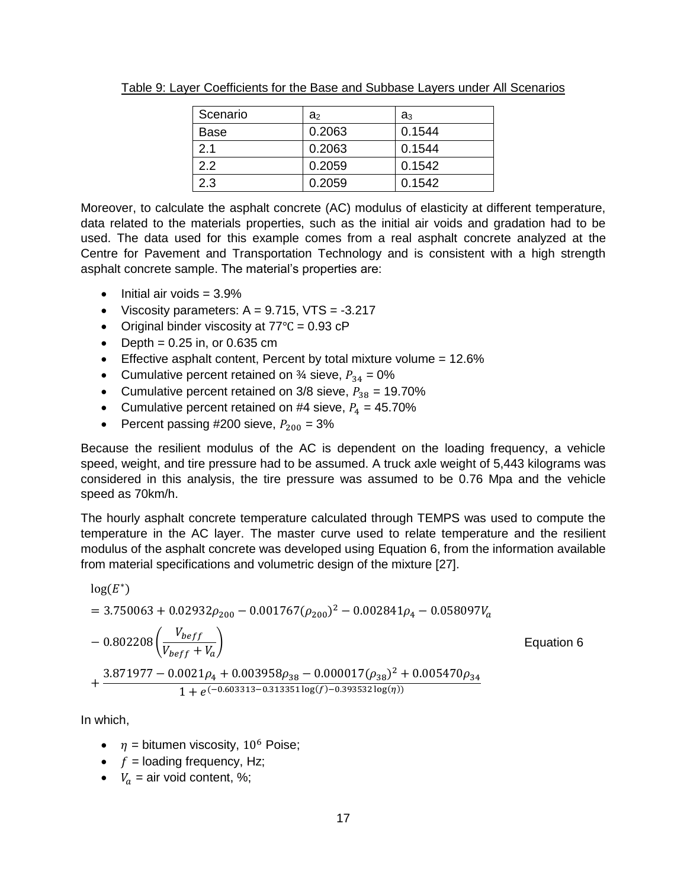| Scenario | a,     | a <sub>3</sub> |
|----------|--------|----------------|
| Base     | 0.2063 | 0.1544         |
| 2.1      | 0.2063 | 0.1544         |
| 2.2      | 0.2059 | 0.1542         |
| 2.3      | 0.2059 | 0.1542         |

<span id="page-16-0"></span>Table 9: Layer Coefficients for the Base and Subbase Layers under All Scenarios

Moreover, to calculate the asphalt concrete (AC) modulus of elasticity at different temperature, data related to the materials properties, such as the initial air voids and gradation had to be used. The data used for this example comes from a real asphalt concrete analyzed at the Centre for Pavement and Transportation Technology and is consistent with a high strength asphalt concrete sample. The material's properties are:

- $\bullet$  Initial air voids = 3.9%
- Viscosity parameters:  $A = 9.715$ , VTS =  $-3.217$
- Original binder viscosity at 77℃ = 0.93 cP
- $\bullet$  Depth = 0.25 in, or 0.635 cm
- **Effective asphalt content, Percent by total mixture volume =**  $12.6\%$
- Cumulative percent retained on  $\frac{3}{4}$  sieve,  $P_{34} = 0\%$
- Cumulative percent retained on  $3/8$  sieve,  $P_{38} = 19.70\%$
- Cumulative percent retained on #4 sieve,  $P_4 = 45.70\%$
- Percent passing #200 sieve,  $P_{200} = 3\%$

Because the resilient modulus of the AC is dependent on the loading frequency, a vehicle speed, weight, and tire pressure had to be assumed. A truck axle weight of 5,443 kilograms was considered in this analysis, the tire pressure was assumed to be 0.76 Mpa and the vehicle speed as 70km/h.

The hourly asphalt concrete temperature calculated through TEMPS was used to compute the temperature in the AC layer. The master curve used to relate temperature and the resilient modulus of the asphalt concrete was developed using [Equation 6,](#page-16-1) from the information available from material specifications and volumetric design of the mixture [27].

$$
log(E^*)
$$
  
= 3.750063 + 0.02932 $\rho_{200}$  - 0.001767 $(\rho_{200})^2$  - 0.002841 $\rho_4$  - 0.058097 $V_a$   
- 0.802208 $\left(\frac{V_{bef}}{V_{beff} + V_a}\right)$  Equation 6  
+  $\frac{3.871977 - 0.0021\rho_4 + 0.003958\rho_{38} - 0.000017(\rho_{38})^2 + 0.005470\rho_{34}}{1 + e^{(-0.603313 - 0.313351\log(f) - 0.393532\log(\eta))}}$ 

In which,

- <span id="page-16-1"></span>•  $\eta$  = bitumen viscosity, 10<sup>6</sup> Poise;
- $\bullet$  f = loading frequency, Hz;
- $V_a$  = air void content, %;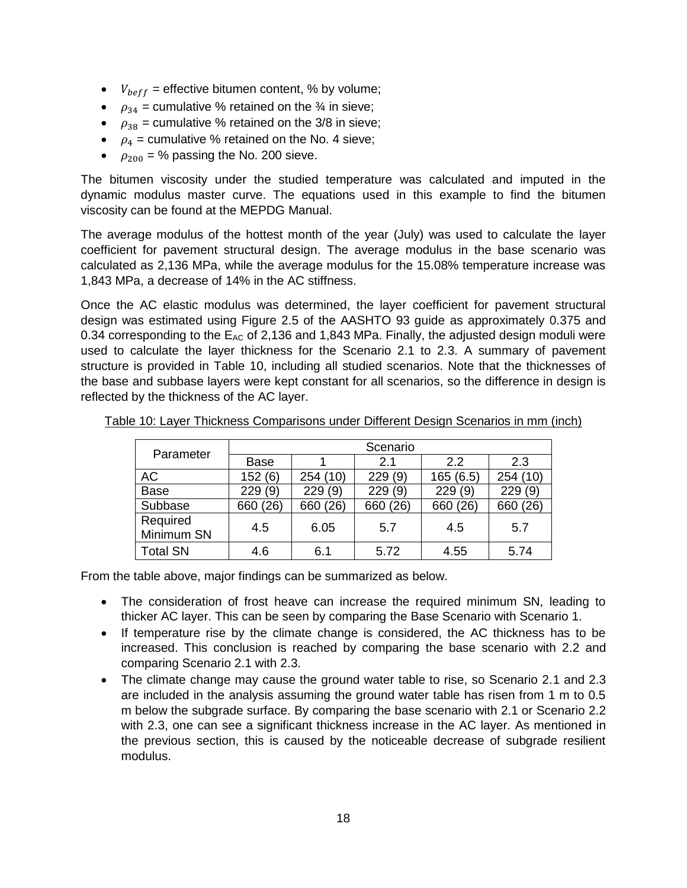- $V_{\text{bef}f}$  = effective bitumen content, % by volume;
- $\rho_{34}$  = cumulative % retained on the  $\frac{3}{4}$  in sieve;
- $\rho_{38}$  = cumulative % retained on the 3/8 in sieve;
- $\rho_4$  = cumulative % retained on the No. 4 sieve;
- $\rho_{200}$  = % passing the No. 200 sieve.

The bitumen viscosity under the studied temperature was calculated and imputed in the dynamic modulus master curve. The equations used in this example to find the bitumen viscosity can be found at the MEPDG Manual.

The average modulus of the hottest month of the year (July) was used to calculate the layer coefficient for pavement structural design. The average modulus in the base scenario was calculated as 2,136 MPa, while the average modulus for the 15.08% temperature increase was 1,843 MPa, a decrease of 14% in the AC stiffness.

Once the AC elastic modulus was determined, the layer coefficient for pavement structural design was estimated using Figure 2.5 of the AASHTO 93 guide as approximately 0.375 and 0.34 corresponding to the  $E_{AC}$  of 2,136 and 1,843 MPa. Finally, the adjusted design moduli were used to calculate the layer thickness for the Scenario 2.1 to 2.3. A summary of pavement structure is provided in [Table 10,](#page-17-0) including all studied scenarios. Note that the thicknesses of the base and subbase layers were kept constant for all scenarios, so the difference in design is reflected by the thickness of the AC layer.

| Parameter              | Scenario    |          |            |            |          |
|------------------------|-------------|----------|------------|------------|----------|
|                        | <b>Base</b> |          | 2.1        | 2.2        | 2.3      |
| AC                     | 152(6)      | 254 (10) | 229(9)     | 165(6.5)   | 254(10)  |
| <b>Base</b>            | 229 (9)     | 229(9)   | (9)<br>229 | (9)<br>229 | 229(9)   |
| Subbase                | 660 (26)    | 660 (26) | 660 (26)   | 660 (26)   | 660 (26) |
| Required<br>Minimum SN | 4.5         | 6.05     | 5.7        | 4.5        | 5.7      |
| <b>Total SN</b>        | 4.6         | 6.1      | 5.72       | 4.55       | 5.74     |

<span id="page-17-0"></span>Table 10: Layer Thickness Comparisons under Different Design Scenarios in mm (inch)

From the table above, major findings can be summarized as below.

- The consideration of frost heave can increase the required minimum SN, leading to thicker AC layer. This can be seen by comparing the Base Scenario with Scenario 1.
- If temperature rise by the climate change is considered, the AC thickness has to be increased. This conclusion is reached by comparing the base scenario with 2.2 and comparing Scenario 2.1 with 2.3.
- The climate change may cause the ground water table to rise, so Scenario 2.1 and 2.3 are included in the analysis assuming the ground water table has risen from 1 m to 0.5 m below the subgrade surface. By comparing the base scenario with 2.1 or Scenario 2.2 with 2.3, one can see a significant thickness increase in the AC layer. As mentioned in the previous section, this is caused by the noticeable decrease of subgrade resilient modulus.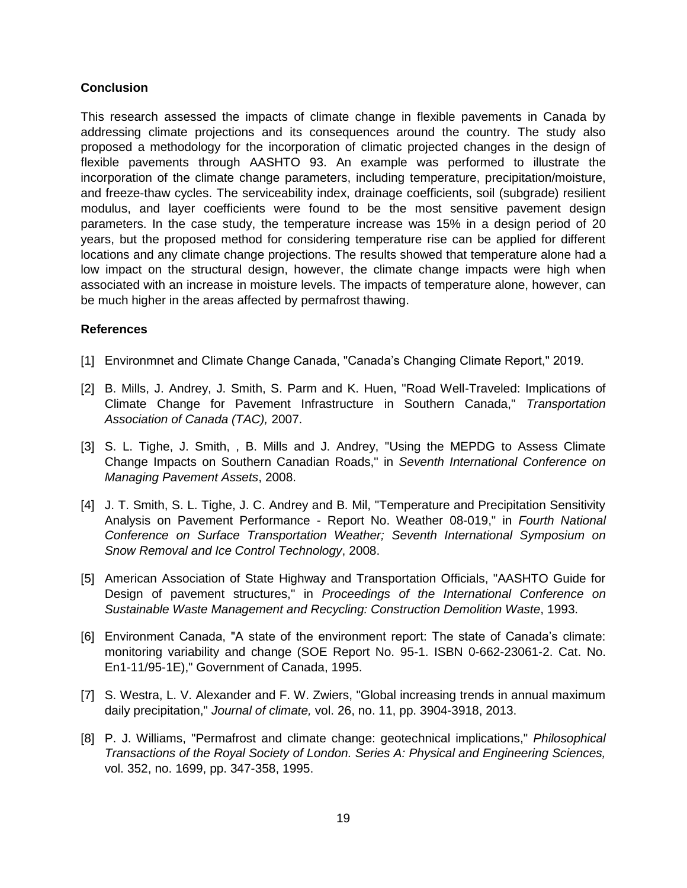## **Conclusion**

This research assessed the impacts of climate change in flexible pavements in Canada by addressing climate projections and its consequences around the country. The study also proposed a methodology for the incorporation of climatic projected changes in the design of flexible pavements through AASHTO 93. An example was performed to illustrate the incorporation of the climate change parameters, including temperature, precipitation/moisture, and freeze-thaw cycles. The serviceability index, drainage coefficients, soil (subgrade) resilient modulus, and layer coefficients were found to be the most sensitive pavement design parameters. In the case study, the temperature increase was 15% in a design period of 20 years, but the proposed method for considering temperature rise can be applied for different locations and any climate change projections. The results showed that temperature alone had a low impact on the structural design, however, the climate change impacts were high when associated with an increase in moisture levels. The impacts of temperature alone, however, can be much higher in the areas affected by permafrost thawing.

#### **References**

- [1] Environmnet and Climate Change Canada, "Canada's Changing Climate Report," 2019.
- [2] B. Mills, J. Andrey, J. Smith, S. Parm and K. Huen, "Road Well-Traveled: Implications of Climate Change for Pavement Infrastructure in Southern Canada," *Transportation Association of Canada (TAC),* 2007.
- [3] S. L. Tighe, J. Smith, , B. Mills and J. Andrey, "Using the MEPDG to Assess Climate Change Impacts on Southern Canadian Roads," in *Seventh International Conference on Managing Pavement Assets*, 2008.
- [4] J. T. Smith, S. L. Tighe, J. C. Andrey and B. Mil, "Temperature and Precipitation Sensitivity Analysis on Pavement Performance - Report No. Weather 08-019," in *Fourth National Conference on Surface Transportation Weather; Seventh International Symposium on Snow Removal and Ice Control Technology*, 2008.
- [5] American Association of State Highway and Transportation Officials, "AASHTO Guide for Design of pavement structures," in *Proceedings of the International Conference on Sustainable Waste Management and Recycling: Construction Demolition Waste*, 1993.
- [6] Environment Canada, "A state of the environment report: The state of Canada's climate: monitoring variability and change (SOE Report No. 95-1. ISBN 0-662-23061-2. Cat. No. En1-11/95-1E)," Government of Canada, 1995.
- [7] S. Westra, L. V. Alexander and F. W. Zwiers, "Global increasing trends in annual maximum daily precipitation," *Journal of climate,* vol. 26, no. 11, pp. 3904-3918, 2013.
- [8] P. J. Williams, "Permafrost and climate change: geotechnical implications," *Philosophical Transactions of the Royal Society of London. Series A: Physical and Engineering Sciences,*  vol. 352, no. 1699, pp. 347-358, 1995.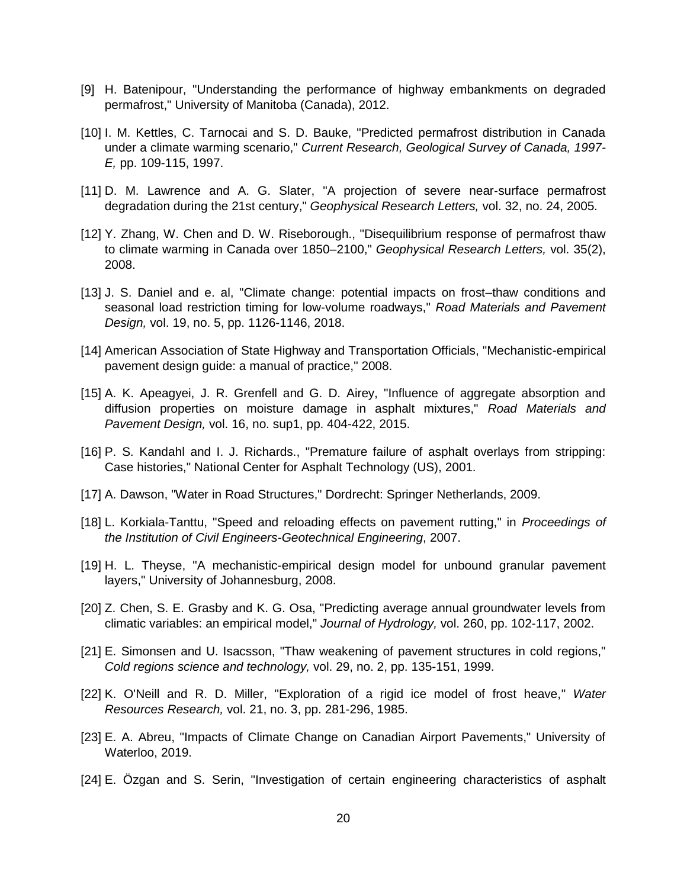- [9] H. Batenipour, "Understanding the performance of highway embankments on degraded permafrost," University of Manitoba (Canada), 2012.
- [10] I. M. Kettles, C. Tarnocai and S. D. Bauke, "Predicted permafrost distribution in Canada under a climate warming scenario," *Current Research, Geological Survey of Canada, 1997- E,* pp. 109-115, 1997.
- [11] D. M. Lawrence and A. G. Slater, "A projection of severe near-surface permafrost degradation during the 21st century," *Geophysical Research Letters,* vol. 32, no. 24, 2005.
- [12] Y. Zhang, W. Chen and D. W. Riseborough., "Disequilibrium response of permafrost thaw to climate warming in Canada over 1850–2100," *Geophysical Research Letters,* vol. 35(2), 2008.
- [13] J. S. Daniel and e. al, "Climate change: potential impacts on frost–thaw conditions and seasonal load restriction timing for low-volume roadways," *Road Materials and Pavement Design,* vol. 19, no. 5, pp. 1126-1146, 2018.
- [14] American Association of State Highway and Transportation Officials, "Mechanistic-empirical pavement design guide: a manual of practice," 2008.
- [15] A. K. Apeagyei, J. R. Grenfell and G. D. Airey, "Influence of aggregate absorption and diffusion properties on moisture damage in asphalt mixtures," *Road Materials and Pavement Design,* vol. 16, no. sup1, pp. 404-422, 2015.
- [16] P. S. Kandahl and I. J. Richards., "Premature failure of asphalt overlays from stripping: Case histories," National Center for Asphalt Technology (US), 2001.
- [17] A. Dawson, "Water in Road Structures," Dordrecht: Springer Netherlands, 2009.
- [18] L. Korkiala-Tanttu, "Speed and reloading effects on pavement rutting," in *Proceedings of the Institution of Civil Engineers-Geotechnical Engineering*, 2007.
- [19] H. L. Theyse, "A mechanistic-empirical design model for unbound granular pavement layers," University of Johannesburg, 2008.
- [20] Z. Chen, S. E. Grasby and K. G. Osa, "Predicting average annual groundwater levels from climatic variables: an empirical model," *Journal of Hydrology,* vol. 260, pp. 102-117, 2002.
- [21] E. Simonsen and U. Isacsson, "Thaw weakening of pavement structures in cold regions," *Cold regions science and technology,* vol. 29, no. 2, pp. 135-151, 1999.
- [22] K. O'Neill and R. D. Miller, "Exploration of a rigid ice model of frost heave," *Water Resources Research,* vol. 21, no. 3, pp. 281-296, 1985.
- [23] E. A. Abreu, "Impacts of Climate Change on Canadian Airport Pavements," University of Waterloo, 2019.
- [24] E. Özgan and S. Serin, "Investigation of certain engineering characteristics of asphalt